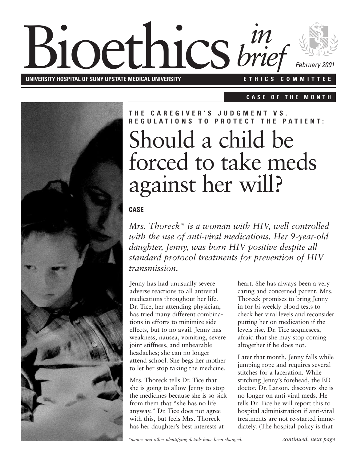## **Bioethics** *brie* **UNIVERSITY HOSPITAL OF SUNY UPSTATE MEDICAL UNIVERSITY E T H I C S C O M M I T T E E** *February 2001 brief*

**C A S E O F T H E M O N T H**



# Should a child be forced to take meds against her will? **T H E C A R E G I V E R ' S J U D G M E N T V S . R F G U L A T I O N S T O P R O T F C T T H F P A T I F N T :**

#### **CASE**

*Mrs. Thoreck\* is a woman with HIV, well controlled with the use of anti-viral medications. Her 9-year-old daughter, Jenny, was born HIV positive despite all standard protocol treatments for prevention of HIV transmission.*

Jenny has had unusually severe adverse reactions to all antiviral medications throughout her life. Dr. Tice, her attending physician, has tried many different combinations in efforts to minimize side effects, but to no avail. Jenny has weakness, nausea, vomiting, severe joint stiffness, and unbearable headaches; she can no longer attend school. She begs her mother to let her stop taking the medicine.

Mrs. Thoreck tells Dr. Tice that she is going to allow Jenny to stop the medicines because she is so sick from them that "she has no life anyway." Dr. Tice does not agree with this, but feels Mrs. Thoreck has her daughter's best interests at

heart. She has always been a very caring and concerned parent. Mrs. Thoreck promises to bring Jenny in for bi-weekly blood tests to check her viral levels and reconsider putting her on medication if the levels rise. Dr. Tice acquiesces, afraid that she may stop coming altogether if he does not.

Later that month, Jenny falls while jumping rope and requires several stitches for a laceration. While stitching Jenny's forehead, the ED doctor, Dr. Larson, discovers she is no longer on anti-viral meds. He tells Dr. Tice he will report this to hospital administration if anti-viral treatments are not re-started immediately. (The hospital policy is that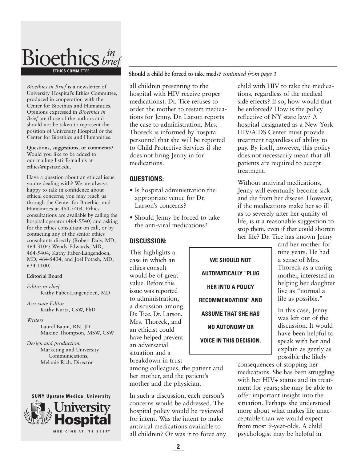

*Bioethics in Brief* is a newsletter of University Hospital's Ethics Committee, produced in cooperation with the Center for Bioethics and Humanities. Opinions expressed in *Bioethics in Brief* are those of the authors and should not be taken to represent the position of University Hospital or the Center for Bioethics and Humanities.

**Questions, suggestions, or comments?** Would you like to be added to our mailing list? E-mail us at ethics@upstate.edu.

Have a question about an ethical issue you're dealing with? We are always happy to talk in confidence about ethical concerns; you may reach us through the Center for Bioethics and Humanities at 464-5404. Ethics consultations are available by calling the hospital operator (464-5540) and asking for the ethics consultant on call, or by contacting any of the senior ethics consultants directly (Robert Daly, MD, 464-3104; Wendy Edwards, MD, 464-5404; Kathy Faber-Langendoen, MD, 464-5404; and Joel Potash, MD, 634-1100).

#### **Editorial Board**

*Editor-in-chief* Kathy Faber-Langendoen, MD

*Associate Editor* Kathy Kurtz, CSW, PhD

*Writers* Laurel Baum, RN, JD Maxine Thompson, MSW, CSW

*Design and production:* Marketing and University Communications, Melanie Rich, Director



**Should a child be forced to take meds?** *continued from page 1*

all children presenting to the hospital with HIV receive proper medications). Dr. Tice refuses to order the mother to restart medications for Jenny. Dr. Larson reports the case to administration. Mrs. Thoreck is informed by hospital personnel that she will be reported to Child Protective Services if she does not bring Jenny in for medications.

#### **QUESTIONS:**

- Is hospital administration the appropriate venue for Dr. Larson's concerns?
- Should Jenny be forced to take the anti-viral medications?

#### **DISCUSSION:**

This highlights a case in which an ethics consult would be of great value. Before this issue was reported to administration, a discussion among Dr. Tice, Dr. Larson, Mrs. Thoreck, and an ethicist could have helped prevent an adversarial situation and a breakdown in trust

**WE SHOULD NOT AUTOMATICALLY "PLUG HER INTO A POLICY RECOMMENDATION" AND ASSUME THAT SHE HAS NO AUTONOMY OR VOICE IN THIS DECISION.**

child with HIV to take the medications, regardless of the medical side effects? If so, how would that be enforced? How is the policy reflective of NY state law? A hospital designated as a New York HIV/AIDS Center must provide treatment regardless of ability to pay. By itself, however, this policy does not necessarily mean that all patients are required to accept treatment.

Without antiviral medications, Jenny will eventually become sick and die from her disease. However, if the medications make her so ill as to severely alter her quality of life, is it a reasonable suggestion to stop them, even if that could shorten her life? Dr. Tice has known Jenny

> and her mother for nine years. He had a sense of Mrs. Thoreck as a caring mother, interested in helping her daughter live as "normal a life as possible."

In this case, Jenny was left out of the discussion. It would have been helpful to speak with her and explain as gently as possible the likely

consequences of stopping her medications. She has been struggling with her HIV<sup>+</sup> status and its treatment for years; she may be able to offer important insight into the situation. Perhaps she understood more about what makes life unacceptable than we would expect from most 9-year-olds. A child psychologist may be helpful in

#### **2**

among colleagues, the patient and her mother, and the patient's mother and the physician.

In such a discussion, each person's concerns would be addressed. The hospital policy would be reviewed for intent. Was the intent to make antiviral medications available to all children? Or was it to force any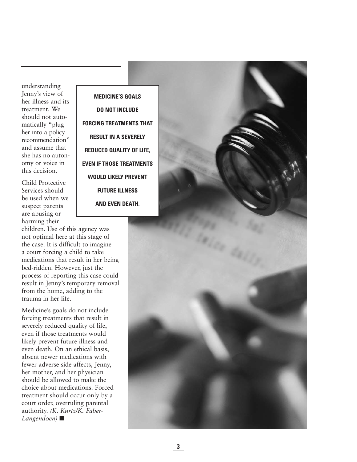understanding Jenny's view of her illness and its treatment. We should not automatically "plug her into a policy recommendation" and assume that she has no autonomy or voice in this decision.

Child Protective Services should be used when we suspect parents are abusing or harming their

children. Use of this agency was not optimal here at this stage of the case. It is difficult to imagine a court forcing a child to take medications that result in her being bed-ridden. However, just the process of reporting this case could result in Jenny's temporary removal from the home, adding to the trauma in her life.

Medicine's goals do not include forcing treatments that result in severely reduced quality of life, even if those treatments would likely prevent future illness and even death. On an ethical basis, absent newer medications with fewer adverse side affects, Jenny, her mother, and her physician should be allowed to make the choice about medications. Forced treatment should occur only by a court order, overruling parental authority. *(K. Kurtz/K. Faber-Langendoen)* ■

**MEDICINE'S GOALS DO NOT INCLUDE FORCING TREATMENTS THAT RESULT IN A SEVERELY REDUCED QUALITY OF LIFE, EVEN IF THOSE TREATMENTS WOULD LIKELY PREVENT FUTURE ILLNESS AND EVEN DEATH.**

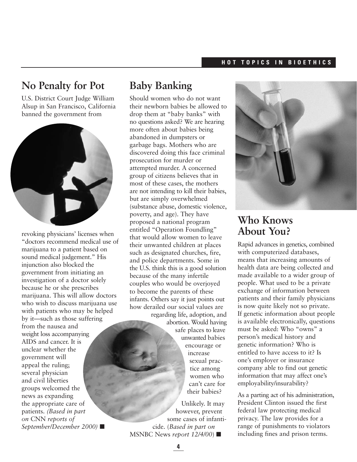#### **H O T T O P I C S I N B I O E T H I C S**

### **No Penalty for Pot**

U.S. District Court Judge William Alsup in San Francisco, California banned the government from



revoking physicians' licenses when "doctors recommend medical use of marijuana to a patient based on sound medical judgement." His injunction also blocked the government from initiating an investigation of a doctor solely because he or she prescribes marijuana. This will allow doctors who wish to discuss marijuana use with patients who may be helped by it—such as those suffering from the nausea and weight loss accompanying AIDS and cancer. It is unclear whether the government will appeal the ruling; several physician and civil liberties groups welcomed the news as expanding the appropriate care of patients. *(Based in part on* CNN *reports of September/December 2000)* ■

### **Baby Banking**

Should women who do not want their newborn babies be allowed to drop them at "baby banks" with no questions asked? We are hearing more often about babies being abandoned in dumpsters or garbage bags. Mothers who are discovered doing this face criminal prosecution for murder or attempted murder. A concerned group of citizens believes that in most of these cases, the mothers are not intending to kill their babies, but are simply overwhelmed (substance abuse, domestic violence, poverty, and age). They have proposed a national program entitled "Operation Foundling" that would allow women to leave their unwanted children at places such as designated churches, fire, and police departments. Some in the U.S. think this is a good solution because of the many infertile couples who would be overjoyed to become the parents of these infants. Others say it just points out how derailed our social values are regarding life, adoption, and

abortion. Would having safe places to leave unwanted babies encourage or increase sexual practice among women who can't care for their babies?

Unlikely. It may however, prevent some cases of infanticide. (*Based in part on* MSNBC News *report 12/4/00*) ■



### **Who Knows About You?**

Rapid advances in genetics, combined with computerized databases, means that increasing amounts of health data are being collected and made available to a wider group of people. What used to be a private exchange of information between patients and their family physicians is now quite likely not so private. If genetic information about people is available electronically, questions must be asked: Who "owns" a person's medical history and genetic information? Who is entitled to have access to it? Is one's employer or insurance company able to find out genetic information that may affect one's employability/insurability?

As a parting act of his administration, President Clinton issued the first federal law protecting medical privacy. The law provides for a range of punishments to violators including fines and prison terms.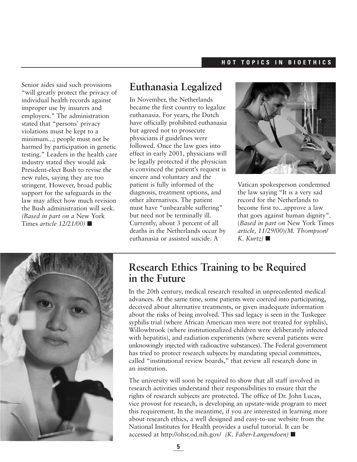Senior aides said such provisions "will greatly protect the privacy of individual health records against improper use by insurers and employers." The administration stated that "persons' privacy violations must be kept to a minimum...; people must not be harmed by participation in genetic testing." Leaders in the health care industry stated they would ask President-elect Bush to revise the new rules, saying they are too stringent. However, broad public support for the safeguards in the law may affect how much revision the Bush administration will seek. *(Based in part on a* New York Times *article 12/21/00)* ■

### **Euthanasia Legalized**

In November, the Netherlands became the first country to legalize euthanasia. For years, the Dutch have officially prohibited euthanasia but agreed not to prosecute physicians if guidelines were followed. Once the law goes into effect in early 2001, physicians will be legally protected if the physician is convinced the patient's request is sincere and voluntary and the patient is fully informed of the diagnosis, treatment options, and other alternatives. The patient must have "unbearable suffering" but need not be terminally ill. Currently, about 3 percent of all deaths in the Netherlands occur by euthanasia or assisted suicide. A



Vatican spokesperson condemned the law saying "It is a very sad record for the Netherlands to become first to...approve a law that goes against human dignity". (*Based in part on* New York Times *article, 11/29/00*)*(M. Thompson/*  $K.$  *Kurtz*)  $\blacksquare$ 



### **Research Ethics Training to be Required in the Future**

In the 20th century, medical research resulted in unprecedented medical advances. At the same time, some patients were coerced into participating, deceived about alternative treatments, or given inadequate information about the risks of being involved. This sad legacy is seen in the Tuskegee syphilis trial (where African American men were not treated for syphilis), Willowbrook (where institutionalized children were deliberately infected with hepatitis), and radiation experiments (where several patients were unknowingly injected with radioactive substances). The Federal government has tried to protect research subjects by mandating special committees, called "institutional review boards," that review all research done in an institution.

The university will soon be required to show that all staff involved in research activities understand their responsibilities to ensure that the rights of research subjects are protected. The office of Dr. John Lucas, vice provost for research, is developing an upstate-wide program to meet this requirement. In the meantime, if you are interested in learning more about research ethics, a well designed and easy-to-use website from the National Institutes for Health provides a useful tutorial. It can be accessed at http://ohsr.od.nih.gov/ *(K. Faber-Langendoen)* ■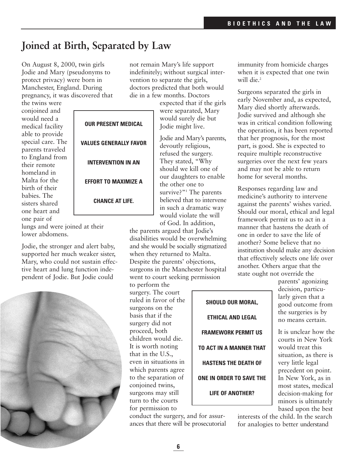### **Joined at Birth, Separated by Law**

On August 8, 2000, twin girls Jodie and Mary (pseudonyms to protect privacy) were born in Manchester, England. During pregnancy, it was discovered that

the twins were conjoined and would need a medical facility able to provide special care. The parents traveled to England from their remote homeland in Malta for the birth of their babies. The sisters shared one heart and one pair of

not remain Mary's life support indefinitely; without surgical intervention to separate the girls, doctors predicted that both would die in a few months. Doctors

expected that if the girls were separated, Mary would surely die but Jodie might live.

Jodie and Mary's parents, devoutly religious, refused the surgery. They stated, "Why should we kill one of our daughters to enable the other one to survive?"<sup>1</sup> The parents believed that to intervene in such a dramatic way would violate the will of God. In addition,

the parents argued that Jodie's disabilities would be overwhelming and she would be socially stigmatized when they returned to Malta. Despite the parents' objections, surgeons in the Manchester hospital went to court seeking permission

to perform the surgery. The court ruled in favor of the surgeons on the basis that if the surgery did not proceed, both children would die. It is worth noting that in the U.S., even in situations in which parents agree to the separation of conjoined twins, surgeons may still turn to the courts for permission to

**SHOULD OUR MORAL, ETHICAL AND LEGAL FRAMEWORK PERMIT US TO ACT IN A MANNER THAT HASTENS THE DEATH OF ONE IN ORDER TO SAVE THE**

immunity from homicide charges when it is expected that one twin will die.<sup>2</sup>

Surgeons separated the girls in early November and, as expected, Mary died shortly afterwards. Jodie survived and although she was in critical condition following the operation, it has been reported that her prognosis, for the most part, is good. She is expected to require multiple reconstructive surgeries over the next few years and may not be able to return home for several months.

Responses regarding law and medicine's authority to intervene against the parents' wishes varied. Should our moral, ethical and legal framework permit us to act in a manner that hastens the death of one in order to save the life of another? Some believe that no institution should make any decision that effectively selects one life over another. Others argue that the state ought not override the

parents' agonizing decision, particularly given that a good outcome from the surgeries is by no means certain.

It is unclear how the courts in New York would treat this situation, as there is very little legal precedent on point. In New York, as in most states, medical decision-making for minors is ultimately based upon the best

interests of the child. In the search for analogies to better understand

**OUR PRESENT MEDICAL**

**VALUES GENERALLY FAVOR**

**INTERVENTION IN AN**

**EFFORT TO MAXIMIZE A**

**CHANCE AT LIFE.**

lungs and were joined at their lower abdomens.

Jodie, the stronger and alert baby, supported her much weaker sister, Mary, who could not sustain effective heart and lung function independent of Jodie. But Jodie could



**LIFE OF ANOTHER?**

conduct the surgery, and for assurances that there will be prosecutorial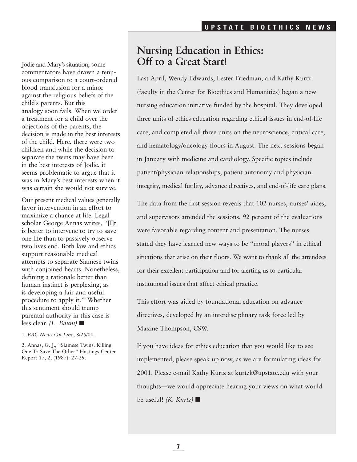Jodie and Mary's situation, some commentators have drawn a tenuous comparison to a court-ordered blood transfusion for a minor against the religious beliefs of the child's parents. But this analogy soon fails. When we order a treatment for a child over the objections of the parents, the decision is made in the best interests of the child. Here, there were two children and while the decision to separate the twins may have been in the best interests of Jodie, it seems problematic to argue that it was in Mary's best interests when it was certain she would not survive.

Our present medical values generally favor intervention in an effort to maximize a chance at life. Legal scholar George Annas writes, "[I]t is better to intervene to try to save one life than to passively observe two lives end. Both law and ethics support reasonable medical attempts to separate Siamese twins with conjoined hearts. Nonetheless, defining a rationale better than human instinct is perplexing, as is developing a fair and useful procedure to apply it."2Whether this sentiment should trump parental authority in this case is less clear. *(L. Baum)* ■

1. *BBC News On Line*, 8/25/00.

2. Annas, G. J., "Siamese Twins: Killing One To Save The Other" Hastings Center Report 17, 2, (1987): 27-29.

### **Nursing Education in Ethics: Off to a Great Start!**

Last April, Wendy Edwards, Lester Friedman, and Kathy Kurtz (faculty in the Center for Bioethics and Humanities) began a new nursing education initiative funded by the hospital. They developed three units of ethics education regarding ethical issues in end-of-life care, and completed all three units on the neuroscience, critical care, and hematology/oncology floors in August. The next sessions began in January with medicine and cardiology. Specific topics include patient/physician relationships, patient autonomy and physician integrity, medical futility, advance directives, and end-of-life care plans.

The data from the first session reveals that 102 nurses, nurses' aides, and supervisors attended the sessions. 92 percent of the evaluations were favorable regarding content and presentation. The nurses stated they have learned new ways to be "moral players" in ethical situations that arise on their floors. We want to thank all the attendees for their excellent participation and for alerting us to particular institutional issues that affect ethical practice.

This effort was aided by foundational education on advance directives, developed by an interdisciplinary task force led by Maxine Thompson, CSW.

If you have ideas for ethics education that you would like to see implemented, please speak up now, as we are formulating ideas for 2001. Please e-mail Kathy Kurtz at kurtzk@upstate.edu with your thoughts—we would appreciate hearing your views on what would be useful! *(K. Kurtz)* ■

**7**